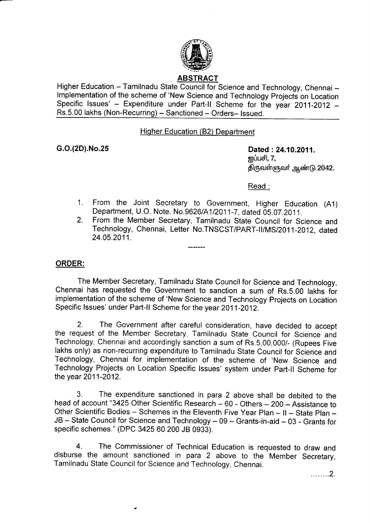

# ABSTRACT

Higher Education - Tamilnadu State Council for Science and Technology, Chennai lmplementation of the scheme of 'New Science and Technology Projects on Location Specific Issues' - Expenditure under Part-II Scheme for the year 2011-2012 -Rs.5.00 lakhs (Non-Recurring) - Sanctioned - Orders- Issued.

### Hiqher Education (B2) Department

G.O.(2D).No.25 Dated :24.10.2011. <u>ஐப்பசி,</u> 7, திருவள்ளுவர் ஆண்டு 2042.

Read :

- 1 . From the Joint secretary to Government, Higher Education (A1) Department, U.O. Note. No.9626/A1/2011-7, dated 05.07.2011.
- 2. From the Member Secretary, Tamilnadu State Council for Science and Technology, Chennai, Letter No.TNSCST/PART-II/MS/2011-2012, dated 24.05.2011.

# ORDER:

The Member Secretary, Tamilnadu State Council for Science and Technology, Chennai has requested the Government to sanction a sum of Rs.5.00 lakhs for implementation of the scheme of 'New Science and Technology Projects on Location Specific lssues' under Part-ll Scheme for the year 2011-2012.

2. The Government after careful consideration, have decided to accept the request of the Member Secretary, Tamilnadu State Council for Science and Technology, Chennai and accordingly sanction a sum of Rs.5,00,000/- (Rupees Five lakhs only) as non-recurring expenditure to Tamilnadu State Council for Science and Technology, Chennai for implementation of the scheme of 'New Science and Technology Projects on Location Specific lssues' system under Part-ll Scheme for the year 2011-2012.

3. The expenditure sanctioned in para 2 above shall be debited to the head of account "3425 Other Scientific Research - 60 - Others - 200 - Assistance to Other Scientific Bodies - Schemes in the Eleventh Five Year Plan - II - State Plan -JB - State Council for Science and Technology - 09 - Grants-in-aid - 03 - Grants for specific schemes." (DPC 3425 60 200 JB 0933).

4. The Commissioner of Technical Education is requested to draw and disburse the amount sanctioned in para 2 above to the Member Secretary, Tamilnadu State Council for Science and Technology, Chennai.

. . . . . . . . 2.